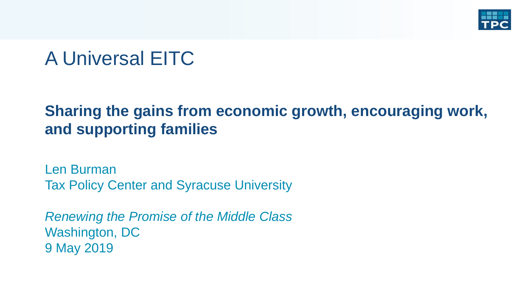

# A Universal EITC

## **Sharing the gains from economic growth, encouraging work, and supporting families**

Len Burman Tax Policy Center and Syracuse University

*Renewing the Promise of the Middle Class* Washington, DC 9 May 2019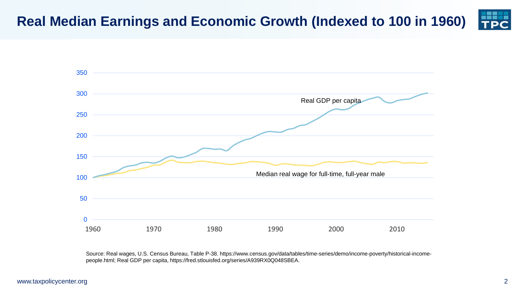#### **Real Median Earnings and Economic Growth (Indexed to 100 in 1960)**



Source: Real wages, U.S. Census Bureau, Table P-38. https://www.census.gov/data/tables/time-series/demo/income-poverty/historical-incomepeople.html; Real GDP per capita, https://fred.stlouisfed.org/series/A939RX0Q048SBEA.

#### www.taxpolicycenter.org 2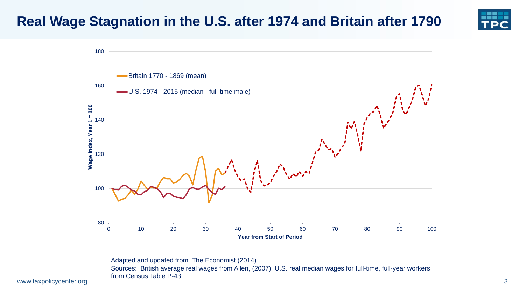#### **Real Wage Stagnation in the U.S. after 1974 and Britain after 1790**



www.taxpolicycenter.org and the constant research of the constant research of the state of the state of the state of the state of the state of the state of the state of the state of the state of the state of the state of t Adapted and updated from The Economist (2014). Sources: British average real wages from Allen, (2007). U.S. real median wages for full-time, full-year workers from Census Table P-43.

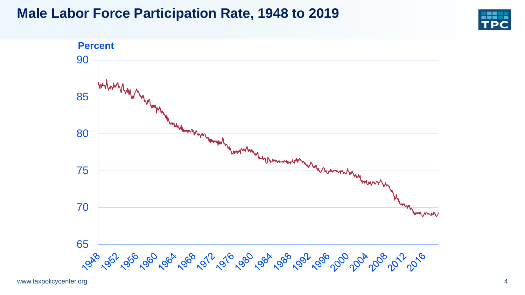#### **Male Labor Force Participation Rate, 1948 to 2019**



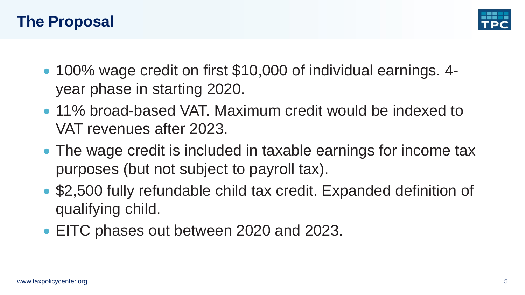



- 100% wage credit on first \$10,000 of individual earnings. 4year phase in starting 2020.
- 11% broad-based VAT. Maximum credit would be indexed to VAT revenues after 2023.
- The wage credit is included in taxable earnings for income tax purposes (but not subject to payroll tax).
- \$2,500 fully refundable child tax credit. Expanded definition of qualifying child.
- EITC phases out between 2020 and 2023.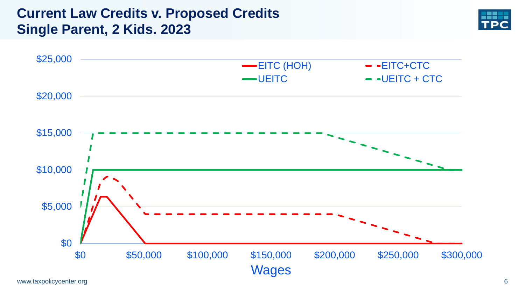#### **Current Law Credits v. Proposed Credits Single Parent, 2 Kids. 2023**



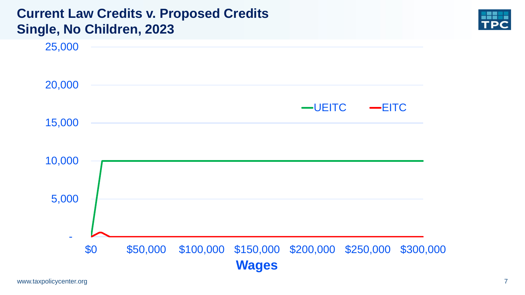#### **Current Law Credits v. Proposed Credits Single, No Children, 2023**

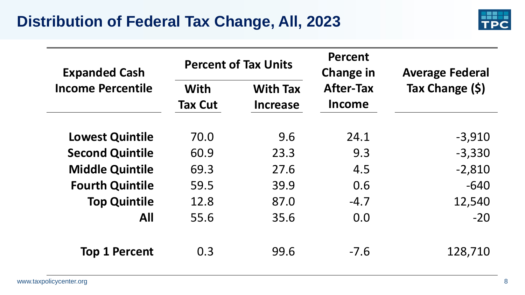

| <b>Expanded Cash</b>     |                               | <b>Percent of Tax Units</b>        | <b>Percent</b><br>Change in | <b>Average Federal</b><br>Tax Change (\$) |  |
|--------------------------|-------------------------------|------------------------------------|-----------------------------|-------------------------------------------|--|
| <b>Income Percentile</b> | <b>With</b><br><b>Tax Cut</b> | <b>With Tax</b><br><b>Increase</b> | <b>After-Tax</b><br>Income  |                                           |  |
| <b>Lowest Quintile</b>   | 70.0                          | 9.6                                | 24.1                        | $-3,910$                                  |  |
| <b>Second Quintile</b>   | 60.9                          | 23.3                               | 9.3                         | $-3,330$                                  |  |
| <b>Middle Quintile</b>   | 69.3                          | 27.6                               | 4.5                         | $-2,810$                                  |  |
| <b>Fourth Quintile</b>   | 59.5                          | 39.9                               | 0.6                         | $-640$                                    |  |
| <b>Top Quintile</b>      | 12.8                          | 87.0                               | $-4.7$                      | 12,540                                    |  |
| <b>All</b>               | 55.6                          | 35.6                               | 0.0                         | $-20$                                     |  |
| <b>Top 1 Percent</b>     | 0.3                           | 99.6                               | $-7.6$                      | 128,710                                   |  |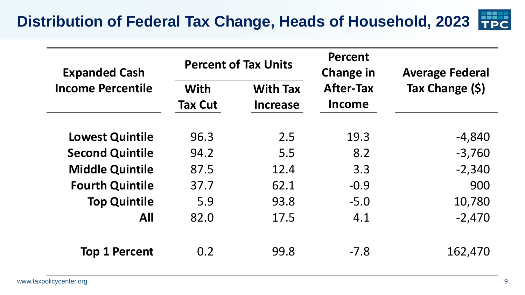| <b>Expanded Cash</b>     |                        | <b>Percent of Tax Units</b>        | <b>Percent</b><br><b>Change in</b> | <b>Average Federal</b><br>Tax Change (\$) |  |
|--------------------------|------------------------|------------------------------------|------------------------------------|-------------------------------------------|--|
| <b>Income Percentile</b> | With<br><b>Tax Cut</b> | <b>With Tax</b><br><b>Increase</b> | <b>After-Tax</b><br><b>Income</b>  |                                           |  |
| <b>Lowest Quintile</b>   | 96.3                   | 2.5                                | 19.3                               | $-4,840$                                  |  |
| <b>Second Quintile</b>   | 94.2                   | 5.5                                | 8.2                                | $-3,760$                                  |  |
| <b>Middle Quintile</b>   | 87.5                   | 12.4                               | 3.3                                | $-2,340$                                  |  |
| <b>Fourth Quintile</b>   | 37.7                   | 62.1                               | $-0.9$                             | 900                                       |  |
| <b>Top Quintile</b>      | 5.9                    | 93.8                               | $-5.0$                             | 10,780                                    |  |
| <b>All</b>               | 82.0                   | 17.5                               | 4.1                                | $-2,470$                                  |  |
| <b>Top 1 Percent</b>     | 0.2                    | 99.8                               | $-7.8$                             | 162,470                                   |  |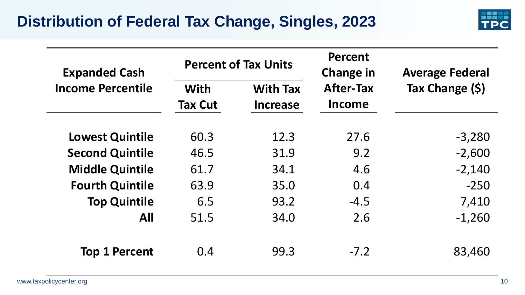

| <b>Expanded Cash</b>     |                               | <b>Percent of Tax Units</b>        | <b>Percent</b><br><b>Change in</b> | <b>Average Federal</b><br>Tax Change (\$) |  |
|--------------------------|-------------------------------|------------------------------------|------------------------------------|-------------------------------------------|--|
| <b>Income Percentile</b> | <b>With</b><br><b>Tax Cut</b> | <b>With Tax</b><br><b>Increase</b> | <b>After-Tax</b><br><b>Income</b>  |                                           |  |
| <b>Lowest Quintile</b>   | 60.3                          | 12.3                               | 27.6                               | $-3,280$                                  |  |
| <b>Second Quintile</b>   | 46.5                          | 31.9                               | 9.2                                | $-2,600$                                  |  |
| <b>Middle Quintile</b>   | 61.7                          | 34.1                               | 4.6                                | $-2,140$                                  |  |
| <b>Fourth Quintile</b>   | 63.9                          | 35.0                               | 0.4                                | $-250$                                    |  |
| <b>Top Quintile</b>      | 6.5                           | 93.2                               | $-4.5$                             | 7,410                                     |  |
| <b>All</b>               | 51.5                          | 34.0                               | 2.6                                | $-1,260$                                  |  |
| <b>Top 1 Percent</b>     | 0.4                           | 99.3                               | $-7.2$                             | 83,460                                    |  |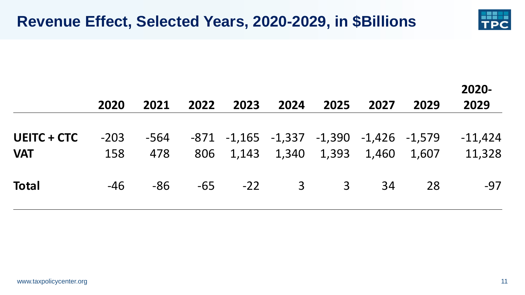

|                                  | 2020          | 2021        | 2022  | 2023 | 2024                              | 2025 | 2027 | 2029                                    | 2020-<br>2029       |
|----------------------------------|---------------|-------------|-------|------|-----------------------------------|------|------|-----------------------------------------|---------------------|
| <b>UEITC + CTC</b><br><b>VAT</b> | $-203$<br>158 | -564<br>478 |       |      | 806 1,143 1,340 1,393 1,460 1,607 |      |      | -871 -1,165 -1,337 -1,390 -1,426 -1,579 | $-11,424$<br>11,328 |
| <b>Total</b>                     | $-46$         | $-86$       | $-65$ |      | $-22$ 3 3                         |      | -34  | 28                                      | $-97$               |